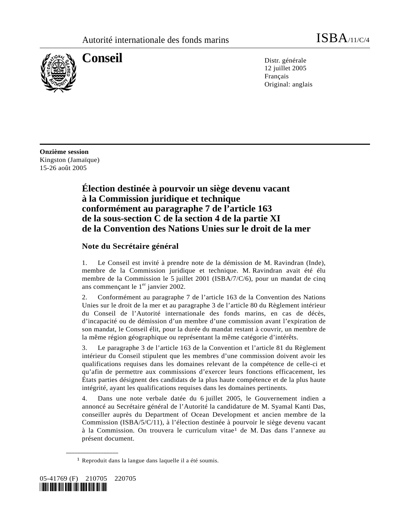

**Conseil** Distr. générale 12 juillet 2005 Français Original: anglais

**Onzième session**  Kingston (Jamaïque) 15-26 août 2005

# **Élection destinée à pourvoir un siège devenu vacant à la Commission juridique et technique conformément au paragraphe 7 de l'article 163 de la sous-section C de la section 4 de la partie XI de la Convention des Nations Unies sur le droit de la mer**

## **Note du Secrétaire général**

1. Le Conseil est invité à prendre note de la démission de M. Ravindran (Inde), membre de la Commission juridique et technique. M. Ravindran avait été élu membre de la Commission le 5 juillet 2001 (ISBA/7/C/6), pour un mandat de cinq ans commençant le  $1<sup>er</sup>$  janvier 2002.

2. Conformément au paragraphe 7 de l'article 163 de la Convention des Nations Unies sur le droit de la mer et au paragraphe 3 de l'article 80 du Règlement intérieur du Conseil de l'Autorité internationale des fonds marins, en cas de décès, d'incapacité ou de démission d'un membre d'une commission avant l'expiration de son mandat, le Conseil élit, pour la durée du mandat restant à couvrir, un membre de la même région géographique ou représentant la même catégorie d'intérêts.

3. Le paragraphe 3 de l'article 163 de la Convention et l'article 81 du Règlement intérieur du Conseil stipulent que les membres d'une commission doivent avoir les qualifications requises dans les domaines relevant de la compétence de celle-ci et qu'afin de permettre aux commissions d'exercer leurs fonctions efficacement, les États parties désignent des candidats de la plus haute compétence et de la plus haute intégrité, ayant les qualifications requises dans les domaines pertinents.

4. Dans une note verbale datée du 6 juillet 2005, le Gouvernement indien a annoncé au Secrétaire général de l'Autorité la candidature de M. Syamal Kanti Das, conseiller auprès du Department of Ocean Development et ancien membre de la Commission (ISBA/5/C/11), à l'élection destinée à pourvoir le siège devenu vacant à la Commission. On trouvera le curriculum vitae1 de M. Das dans l'annexe au présent document.

<sup>1</sup> Reproduit dans la langue dans laquelle il a été soumis.



**\_\_\_\_\_\_\_\_\_\_\_\_\_\_\_\_\_\_**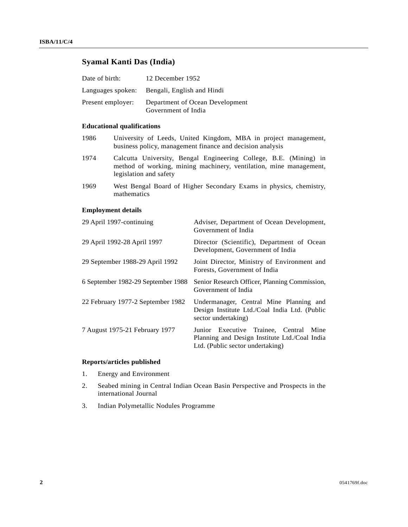## **Syamal Kanti Das (India)**

| Date of birth:    | 12 December 1952                                       |
|-------------------|--------------------------------------------------------|
|                   | Languages spoken: Bengali, English and Hindi           |
| Present employer: | Department of Ocean Development<br>Government of India |

## **Educational qualifications**

- 1986 University of Leeds, United Kingdom, MBA in project management, business policy, management finance and decision analysis
- 1974 Calcutta University, Bengal Engineering College, B.E. (Mining) in method of working, mining machinery, ventilation, mine management, legislation and safety
- 1969 West Bengal Board of Higher Secondary Exams in physics, chemistry, mathematics

## **Employment details**

| 29 April 1997-continuing           | Adviser, Department of Ocean Development,<br>Government of India                                                            |
|------------------------------------|-----------------------------------------------------------------------------------------------------------------------------|
| 29 April 1992-28 April 1997        | Director (Scientific), Department of Ocean<br>Development, Government of India                                              |
| 29 September 1988-29 April 1992    | Joint Director, Ministry of Environment and<br>Forests, Government of India                                                 |
| 6 September 1982-29 September 1988 | Senior Research Officer, Planning Commission,<br>Government of India                                                        |
| 22 February 1977-2 September 1982  | Undermanager, Central Mine Planning and<br>Design Institute Ltd./Coal India Ltd. (Public<br>sector undertaking)             |
| 7 August 1975-21 February 1977     | Junior Executive Trainee, Central Mine<br>Planning and Design Institute Ltd./Coal India<br>Ltd. (Public sector undertaking) |

## **Reports/articles published**

- 1. Energy and Environment
- 2. Seabed mining in Central Indian Ocean Basin Perspective and Prospects in the international Journal
- 3. Indian Polymetallic Nodules Programme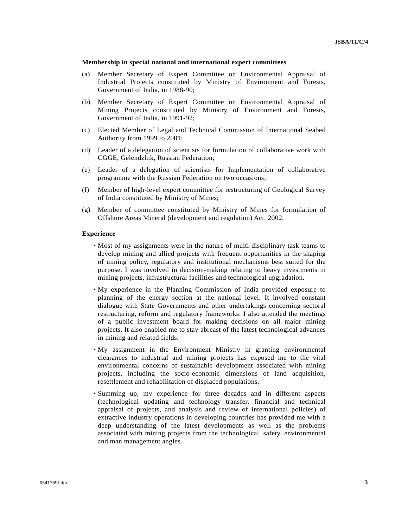### **Membership in special national and international expert committees**

- (a) Member Secretary of Expert Committee on Environmental Appraisal of Industrial Projects constituted by Ministry of Environment and Forests, Government of India, in 1988-90;
- (b) Member Secretary of Expert Committee on Environmental Appraisal of Mining Projects constituted by Ministry of Environment and Forests, Government of India, in 1991-92;
- (c) Elected Member of Legal and Technical Commission of International Seabed Authority from 1999 to 2001;
- (d) Leader of a delegation of scientists for formulation of collaborative work with CGGE, Gelendzhik, Russian Federation;
- (e) Leader of a delegation of scientists for Implementation of collaborative programme with the Russian Federation on two occasions;
- (f) Member of high-level expert committee for restructuring of Geological Survey of India constituted by Ministry of Mines;
- (g) Member of committee constituted by Ministry of Mines for formulation of Offshore Areas Mineral (development and regulation) Act. 2002.

#### **Experience**

- Most of my assignments were in the nature of multi-disciplinary task teams to develop mining and allied projects with frequent opportunities in the shaping of mining policy, regulatory and institutional mechanisms best suited for the purpose. I was involved in decision-making relating to heavy investments in mining projects, infrastructural facilities and technological upgradation.
- My experience in the Planning Commission of India provided exposure to planning of the energy section at the national level. It involved constant dialogue with State Governments and other undertakings concerning sectoral restructuring, reform and regulatory frameworks. I also attended the meetings of a public investment board for making decisions on all major mining projects. It also enabled me to stay abreast of the latest technological advances in mining and related fields.
- My assignment in the Environment Ministry in granting environmental clearances to industrial and mining projects has exposed me to the vital environmental concerns of sustainable development associated with mining projects, including the socio-economic dimensions of land acquisition, resettlement and rehabilitation of displaced populations.
- Summing up, my experience for three decades and in different aspects (technological updating and technology transfer, financial and technical appraisal of projects, and analysis and review of international policies) of extractive industry operations in developing countries has provided me with a deep understanding of the latest developments as well as the problems associated with mining projects from the technological, safety, environmental and man management angles.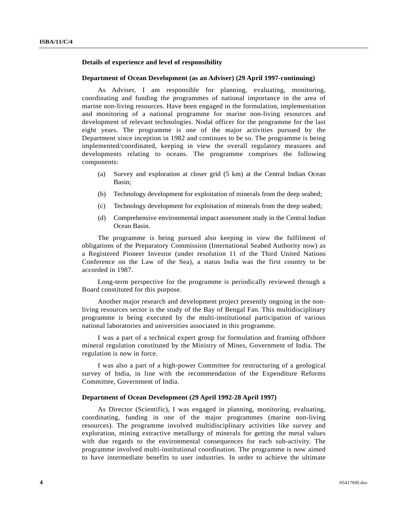## **Details of experience and level of responsibility**

#### **Department of Ocean Development (as an Adviser) (29 April 1997-continuing)**

 As Adviser, I am responsible for planning, evaluating, monitoring, coordinating and funding the programmes of national importance in the area of marine non-living resources. Have been engaged in the formulation, implementation and monitoring of a national programme for marine non-living resources and development of relevant technologies. Nodal officer for the programme for the last eight years. The programme is one of the major activities pursued by the Department since inception in 1982 and continues to be so. The programme is being implemented/coordinated, keeping in view the overall regulatory measures and developments relating to oceans. The programme comprises the following components:

- (a) Survey and exploration at closer grid (5 km) at the Central Indian Ocean Basin;
- (b) Technology development for exploitation of minerals from the deep seabed;
- (c) Technology development for exploitation of minerals from the deep seabed;
- (d) Comprehensive environmental impact assessment study in the Central Indian Ocean Basin.

 The programme is being pursued also keeping in view the fulfilment of obligations of the Preparatory Commission (International Seabed Authority now) as a Registered Pioneer Investor (under resolution 11 of the Third United Nations Conference on the Law of the Sea), a status India was the first country to be accorded in 1987.

 Long-term perspective for the programme is periodically reviewed through a Board constituted for this purpose.

 Another major research and development project presently ongoing in the nonliving resources sector is the study of the Bay of Bengal Fan. This multidisciplinary programme is being executed by the multi-institutional participation of various national laboratories and universities associated in this programme.

 I was a part of a technical expert group for formulation and framing offshore mineral regulation constituted by the Ministry of Mines, Government of India. The regulation is now in force.

 I was also a part of a high-power Committee for restructuring of a geological survey of India, in line with the recommendation of the Expenditure Reforms Committee, Government of India.

#### **Department of Ocean Development (29 April 1992-28 April 1997)**

 As Director (Scientific), I was engaged in planning, monitoring, evaluating, coordinating, funding in one of the major programmes (marine non-living resources). The programme involved multidisciplinary activities like survey and exploration, mining extractive metallurgy of minerals for getting the metal values with due regards to the environmental consequences for each sub-activity. The programme involved multi-institutional coordination. The programme is now aimed to have intermediate benefits to user industries. In order to achieve the ultimate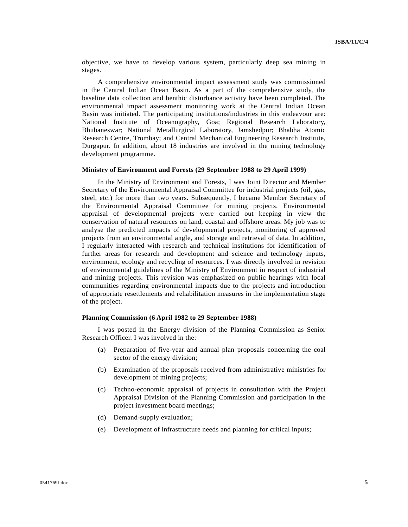objective, we have to develop various system, particularly deep sea mining in stages.

 A comprehensive environmental impact assessment study was commissioned in the Central Indian Ocean Basin. As a part of the comprehensive study, the baseline data collection and benthic disturbance activity have been completed. The environmental impact assessment monitoring work at the Central Indian Ocean Basin was initiated. The participating institutions/industries in this endeavour are: National Institute of Oceanography, Goa; Regional Research Laboratory, Bhubaneswar; National Metallurgical Laboratory, Jamshedpur; Bhabha Atomic Research Centre, Trombay; and Central Mechanical Engineering Research Institute, Durgapur. In addition, about 18 industries are involved in the mining technology development programme.

#### **Ministry of Environment and Forests (29 September 1988 to 29 April 1999)**

 In the Ministry of Environment and Forests, I was Joint Director and Member Secretary of the Environmental Appraisal Committee for industrial projects (oil, gas, steel, etc.) for more than two years. Subsequently, I became Member Secretary of the Environmental Appraisal Committee for mining projects. Environmental appraisal of developmental projects were carried out keeping in view the conservation of natural resources on land, coastal and offshore areas. My job was to analyse the predicted impacts of developmental projects, monitoring of approved projects from an environmental angle, and storage and retrieval of data. In addition, I regularly interacted with research and technical institutions for identification of further areas for research and development and science and technology inputs, environment, ecology and recycling of resources. I was directly involved in revision of environmental guidelines of the Ministry of Environment in respect of industrial and mining projects. This revision was emphasized on public hearings with local communities regarding environmental impacts due to the projects and introduction of appropriate resettlements and rehabilitation measures in the implementation stage of the project.

#### **Planning Commission (6 April 1982 to 29 September 1988)**

 I was posted in the Energy division of the Planning Commission as Senior Research Officer. I was involved in the:

- (a) Preparation of five-year and annual plan proposals concerning the coal sector of the energy division;
- (b) Examination of the proposals received from administrative ministries for development of mining projects;
- (c) Techno-economic appraisal of projects in consultation with the Project Appraisal Division of the Planning Commission and participation in the project investment board meetings;
- (d) Demand-supply evaluation;
- (e) Development of infrastructure needs and planning for critical inputs;